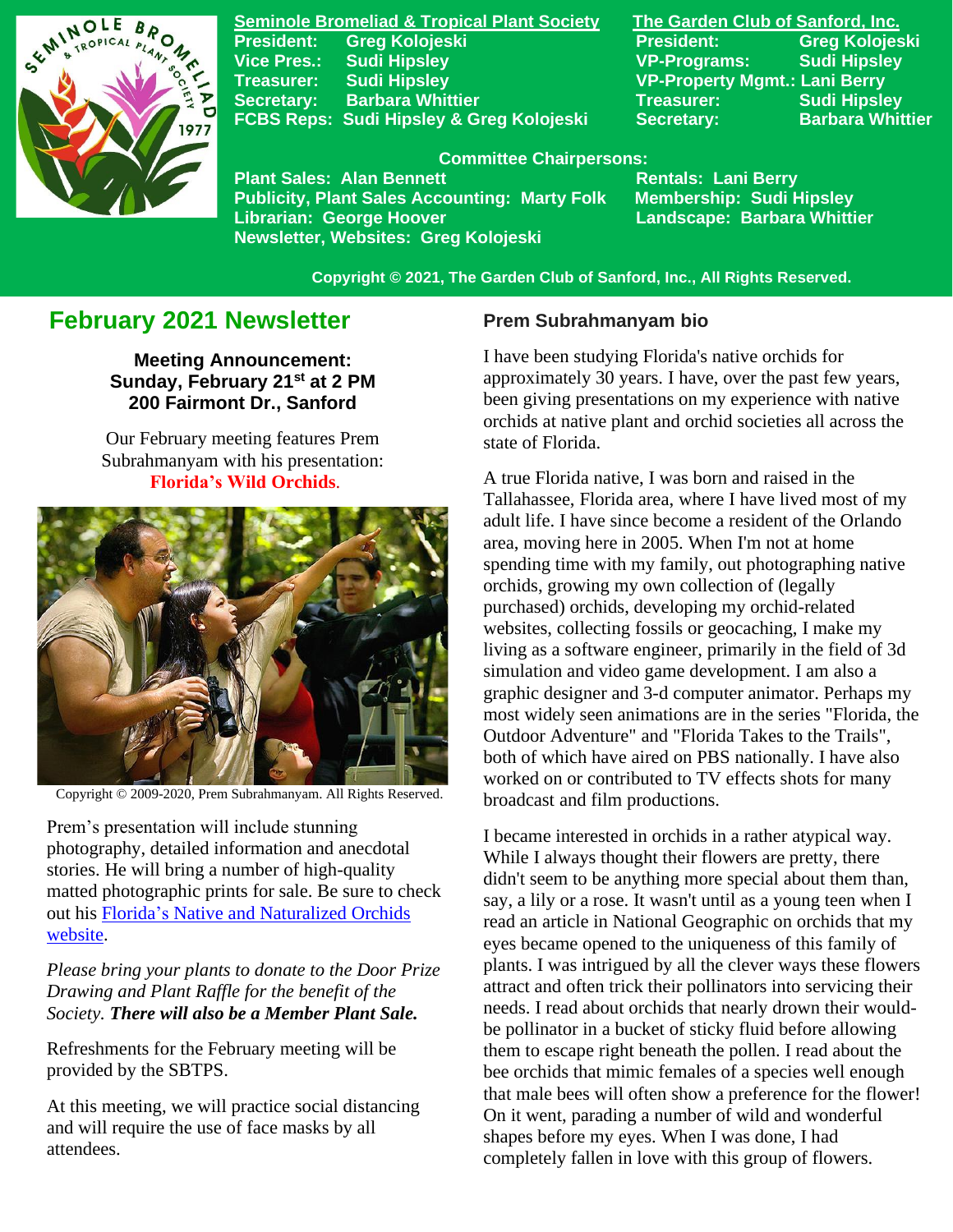

**Seminole Bromeliad & Tropical Plant Society The Garden Club of Sanford, Inc. Vice Pres.: Sudi Hipsley VP-Programs: Sudi Hipsley Treasurer: Sudi Hipsley VP-Property Mgmt.: Lani Berry Secretary:** Barbara Whittier **Treasurer:** Sudi Hipsley FCBS Reps: Sudi Hipsley & Greg Kolojeski Secretary: Barbara Whittier

**President: Greg Kolojeski President: Greg Kolojeski** 

#### **Committee Chairpersons:**

Plant Sales: Alan Bennett<br>Publicity, Plant Sal<u>es Accounting: Marty Folk Membership: Sudi Hipsley</u> **Publicity, Plant Sales Accounting: Marty Folk Librarian: George Hoover Landscape: Barbara Whittier Newsletter, Websites: Greg Kolojeski**

 **Copyright © 2021, The Garden Club of Sanford, Inc., All Rights Reserved.**

# **February 2021 Newsletter**

**Meeting Announcement: Sunday, February 21st at 2 PM 200 Fairmont Dr., Sanford**

Our February meeting features Prem Subrahmanyam with his presentation: **Florida's Wild Orchids**.



Copyright © 2009-2020, Prem Subrahmanyam. All Rights Reserved.

 Prem's presentation will include stunning photography, detailed information and anecdotal stories. He will bring a number of high-quality matted photographic prints for sale. Be sure to check out his [Florida's Native and Naturalized Orchids](http://flnativeorchids.com/index2.htm)  [website.](http://flnativeorchids.com/index2.htm)

*Please bring your plants to donate to the Door Prize Drawing and Plant Raffle for the benefit of the Society. There will also be a Member Plant Sale.*

Refreshments for the February meeting will be provided by the SBTPS.

At this meeting, we will practice social distancing and will require the use of face masks by all attendees.

#### **Prem Subrahmanyam bio**

I have been studying Florida's native orchids for approximately 30 years. I have, over the past few years, been giving presentations on my experience with native orchids at native plant and orchid societies all across the state of Florida.

A true Florida native, I was born and raised in the Tallahassee, Florida area, where I have lived most of my adult life. I have since become a resident of the Orlando area, moving here in 2005. When I'm not at home spending time with my family, out photographing native orchids, growing my own collection of (legally purchased) orchids, developing my orchid-related websites, collecting fossils or geocaching, I make my living as a software engineer, primarily in the field of 3d simulation and video game development. I am also a graphic designer and 3-d computer animator. Perhaps my most widely seen animations are in the series "Florida, the Outdoor Adventure" and "Florida Takes to the Trails", both of which have aired on PBS nationally. I have also worked on or contributed to TV effects shots for many broadcast and film productions.

I became interested in orchids in a rather atypical way. While I always thought their flowers are pretty, there didn't seem to be anything more special about them than, say, a lily or a rose. It wasn't until as a young teen when I read an article in National Geographic on orchids that my eyes became opened to the uniqueness of this family of plants. I was intrigued by all the clever ways these flowers attract and often trick their pollinators into servicing their needs. I read about orchids that nearly drown their wouldbe pollinator in a bucket of sticky fluid before allowing them to escape right beneath the pollen. I read about the bee orchids that mimic females of a species well enough that male bees will often show a preference for the flower! On it went, parading a number of wild and wonderful shapes before my eyes. When I was done, I had completely fallen in love with this group of flowers.